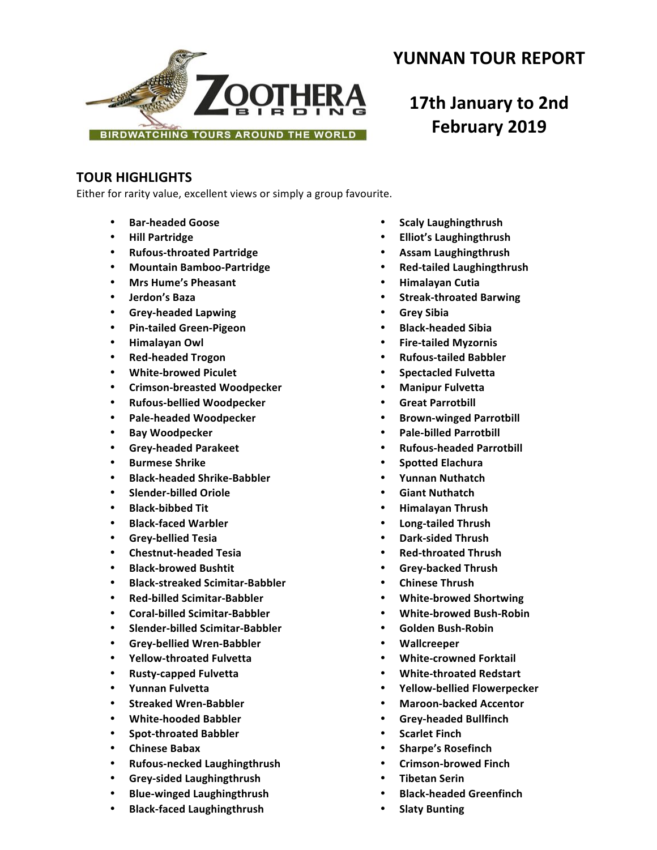

# **YUNNAN TOUR REPORT**

# **17th January to 2nd February 2019**

# **TOUR HIGHLIGHTS**

Either for rarity value, excellent views or simply a group favourite.

- **Bar-headed Goose**
- **Hill Partridge**
- **Rufous-throated Partridge**
- **Mountain Bamboo-Partridge**
- **Mrs Hume's Pheasant**
- **Jerdon's Baza**
- **Grey-headed Lapwing**
- **Pin-tailed Green-Pigeon**
- **Himalayan Owl**
- **Red-headed Trogon**
- **White-browed Piculet**
- **Crimson-breasted Woodpecker**
- **Rufous-bellied Woodpecker**
- **Pale-headed Woodpecker**
- **Bay Woodpecker**
- **Grey-headed Parakeet**
- **Burmese Shrike**
- **Black-headed Shrike-Babbler**
- **Slender-billed Oriole**
- **Black-bibbed Tit**
- **Black-faced Warbler**
- **Grey-bellied Tesia**
- **Chestnut-headed Tesia**
- **Black-browed Bushtit**
- **Black-streaked Scimitar-Babbler**
- **Red-billed Scimitar-Babbler**
- **Coral-billed Scimitar-Babbler**
- **Slender-billed Scimitar-Babbler**
- **Grey-bellied Wren-Babbler**
- **Yellow-throated Fulvetta**
- **Rusty-capped Fulvetta**
- **Yunnan Fulvetta**
- **Streaked Wren-Babbler**
- **White-hooded Babbler**
- **Spot-throated Babbler**
- **Chinese Babax**
- **Rufous-necked Laughingthrush**
- **Grey-sided Laughingthrush**
- **Blue-winged Laughingthrush**
- **Black-faced Laughingthrush**
- **Scaly Laughingthrush**
- **Elliot's Laughingthrush**
- **Assam Laughingthrush**
- **Red-tailed Laughingthrush**
- **Himalayan Cutia**
- **Streak-throated Barwing**
- **Grey Sibia**
- **Black-headed Sibia**
- **Fire-tailed Myzornis**
- **Rufous-tailed Babbler**
- **Spectacled Fulvetta**
- **Manipur Fulvetta**
- **Great Parrotbill**
- **Brown-winged Parrotbill**
- **Pale-billed Parrotbill**
- **Rufous-headed Parrotbill**
- **Spotted Elachura**
- **Yunnan Nuthatch**
- **Giant Nuthatch**
- **Himalayan Thrush**
- **Long-tailed Thrush**
- **Dark-sided Thrush**
- **Red-throated Thrush**
- **Grey-backed Thrush**
- **Chinese Thrush**
- **White-browed Shortwing**
- **White-browed Bush-Robin**
- **Golden Bush-Robin**
- **Wallcreeper**
- **White-crowned Forktail**
- **White-throated Redstart**
- **Yellow-bellied Flowerpecker**
- **Maroon-backed Accentor**
- **Grey-headed Bullfinch**
- **Scarlet Finch**
- **Sharpe's Rosefinch**
- **Crimson-browed Finch**
- **Tibetan Serin**
- **Black-headed Greenfinch**
- **Slaty Bunting**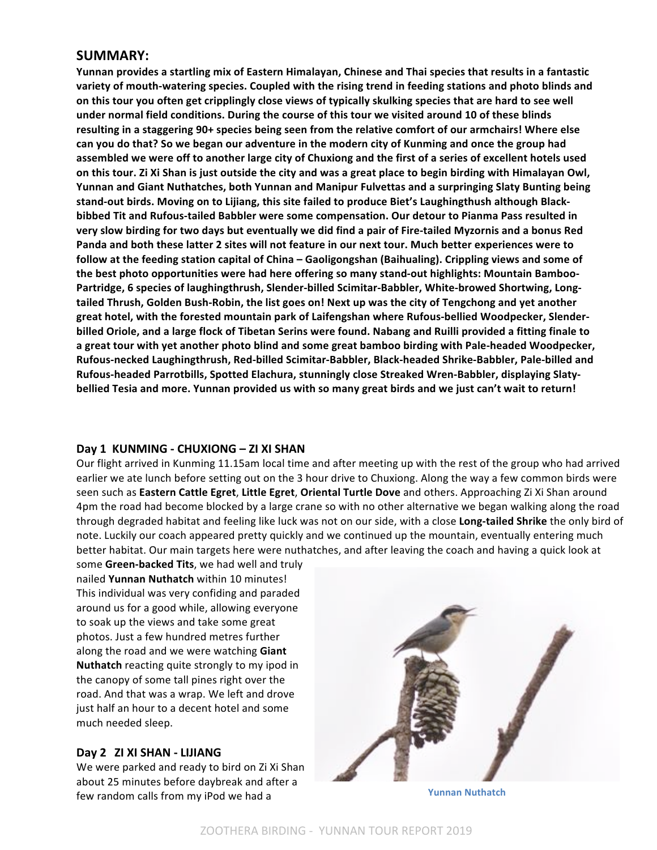# **SUMMARY:**

Yunnan provides a startling mix of Eastern Himalayan, Chinese and Thai species that results in a fantastic variety of mouth-watering species. Coupled with the rising trend in feeding stations and photo blinds and on this tour you often get cripplingly close views of typically skulking species that are hard to see well under normal field conditions. During the course of this tour we visited around 10 of these blinds resulting in a staggering 90+ species being seen from the relative comfort of our armchairs! Where else can you do that? So we began our adventure in the modern city of Kunming and once the group had assembled we were off to another large city of Chuxiong and the first of a series of excellent hotels used on this tour. Zi Xi Shan is just outside the city and was a great place to begin birding with Himalayan Owl, Yunnan and Giant Nuthatches, both Yunnan and Manipur Fulvettas and a surpringing Slaty Bunting being stand-out birds. Moving on to Lijiang, this site failed to produce Biet's Laughingthush although Blackbibbed Tit and Rufous-tailed Babbler were some compensation. Our detour to Pianma Pass resulted in very slow birding for two days but eventually we did find a pair of Fire-tailed Myzornis and a bonus Red Panda and both these latter 2 sites will not feature in our next tour. Much better experiences were to follow at the feeding station capital of China - Gaoligongshan (Baihualing). Crippling views and some of the best photo opportunities were had here offering so many stand-out highlights: Mountain Bamboo-Partridge, 6 species of laughingthrush, Slender-billed Scimitar-Babbler, White-browed Shortwing, Longtailed Thrush, Golden Bush-Robin, the list goes on! Next up was the city of Tengchong and yet another great hotel, with the forested mountain park of Laifengshan where Rufous-bellied Woodpecker, Slenderbilled Oriole, and a large flock of Tibetan Serins were found. Nabang and Ruilli provided a fitting finale to a great tour with yet another photo blind and some great bamboo birding with Pale-headed Woodpecker, **Rufous-necked Laughingthrush, Red-billed Scimitar-Babbler, Black-headed Shrike-Babbler, Pale-billed and**  Rufous-headed Parrotbills, Spotted Elachura, stunningly close Streaked Wren-Babbler, displaying Slatybellied Tesia and more. Yunnan provided us with so many great birds and we just can't wait to return!

# **Day 1 KUNMING - CHUXIONG – ZI XI SHAN**

Our flight arrived in Kunming 11.15am local time and after meeting up with the rest of the group who had arrived earlier we ate lunch before setting out on the 3 hour drive to Chuxiong. Along the way a few common birds were seen such as **Eastern Cattle Egret, Little Egret, Oriental Turtle Dove** and others. Approaching Zi Xi Shan around 4pm the road had become blocked by a large crane so with no other alternative we began walking along the road through degraded habitat and feeling like luck was not on our side, with a close **Long-tailed Shrike** the only bird of note. Luckily our coach appeared pretty quickly and we continued up the mountain, eventually entering much better habitat. Our main targets here were nuthatches, and after leaving the coach and having a quick look at

some Green-backed Tits, we had well and truly nailed **Yunnan Nuthatch** within 10 minutes! This individual was very confiding and paraded around us for a good while, allowing everyone to soak up the views and take some great photos. Just a few hundred metres further along the road and we were watching **Giant Nuthatch** reacting quite strongly to my ipod in the canopy of some tall pines right over the road. And that was a wrap. We left and drove just half an hour to a decent hotel and some much needed sleep.

# **Day 2 ZI XI SHAN - LIJIANG**

We were parked and ready to bird on Zi Xi Shan about 25 minutes before daybreak and after a few random calls from my iPod we had a **Yunnan** Nuthatch

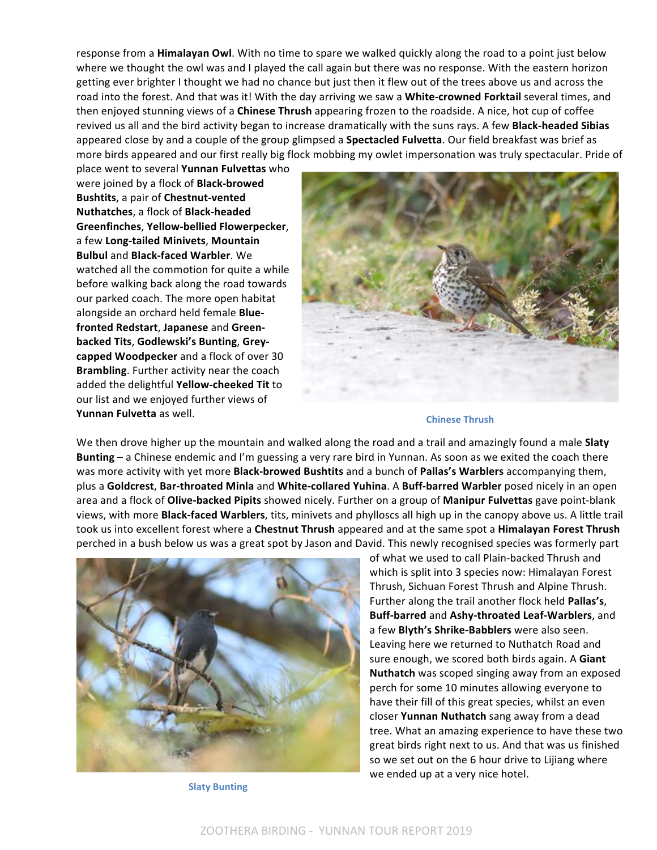response from a **Himalayan Owl**. With no time to spare we walked quickly along the road to a point just below where we thought the owl was and I played the call again but there was no response. With the eastern horizon getting ever brighter I thought we had no chance but just then it flew out of the trees above us and across the road into the forest. And that was it! With the day arriving we saw a White-crowned Forktail several times, and then enjoyed stunning views of a **Chinese Thrush** appearing frozen to the roadside. A nice, hot cup of coffee revived us all and the bird activity began to increase dramatically with the suns rays. A few **Black-headed Sibias** appeared close by and a couple of the group glimpsed a **Spectacled Fulvetta**. Our field breakfast was brief as more birds appeared and our first really big flock mobbing my owlet impersonation was truly spectacular. Pride of

place went to several **Yunnan Fulvettas** who were joined by a flock of **Black-browed Bushtits**, a pair of **Chestnut-vented Nuthatches, a flock of Black-headed Greenfinches**, **Yellow-bellied Flowerpecker**, a few Long-tailed Minivets, Mountain **Bulbul** and **Black-faced Warbler**. We watched all the commotion for quite a while before walking back along the road towards our parked coach. The more open habitat alongside an orchard held female Bluefronted Redstart, Japanese and Greenbacked Tits, Godlewski's Bunting, Grey**capped Woodpecker** and a flock of over 30 **Brambling**. Further activity near the coach added the delightful **Yellow-cheeked Tit** to our list and we enjoyed further views of Yunnan Fulvetta as well.



#### **Chinese Thrush**

We then drove higher up the mountain and walked along the road and a trail and amazingly found a male **Slaty Bunting** – a Chinese endemic and I'm guessing a very rare bird in Yunnan. As soon as we exited the coach there was more activity with yet more **Black-browed Bushtits** and a bunch of **Pallas's Warblers** accompanying them, plus a Goldcrest, Bar-throated Minla and White-collared Yuhina. A Buff-barred Warbler posed nicely in an open area and a flock of Olive-backed Pipits showed nicely. Further on a group of Manipur Fulvettas gave point-blank views, with more **Black-faced Warblers**, tits, minivets and phylloscs all high up in the canopy above us. A little trail took us into excellent forest where a **Chestnut Thrush** appeared and at the same spot a **Himalayan Forest Thrush** perched in a bush below us was a great spot by Jason and David. This newly recognised species was formerly part



**Slaty Bunting**

of what we used to call Plain-backed Thrush and which is split into 3 species now: Himalayan Forest Thrush, Sichuan Forest Thrush and Alpine Thrush. Further along the trail another flock held **Pallas's**, **Buff-barred** and **Ashy-throated Leaf-Warblers**, and a few **Blyth's Shrike-Babblers** were also seen. Leaving here we returned to Nuthatch Road and sure enough, we scored both birds again. A Giant **Nuthatch** was scoped singing away from an exposed perch for some 10 minutes allowing everyone to have their fill of this great species, whilst an even closer **Yunnan Nuthatch** sang away from a dead tree. What an amazing experience to have these two great birds right next to us. And that was us finished so we set out on the 6 hour drive to Lijiang where we ended up at a very nice hotel.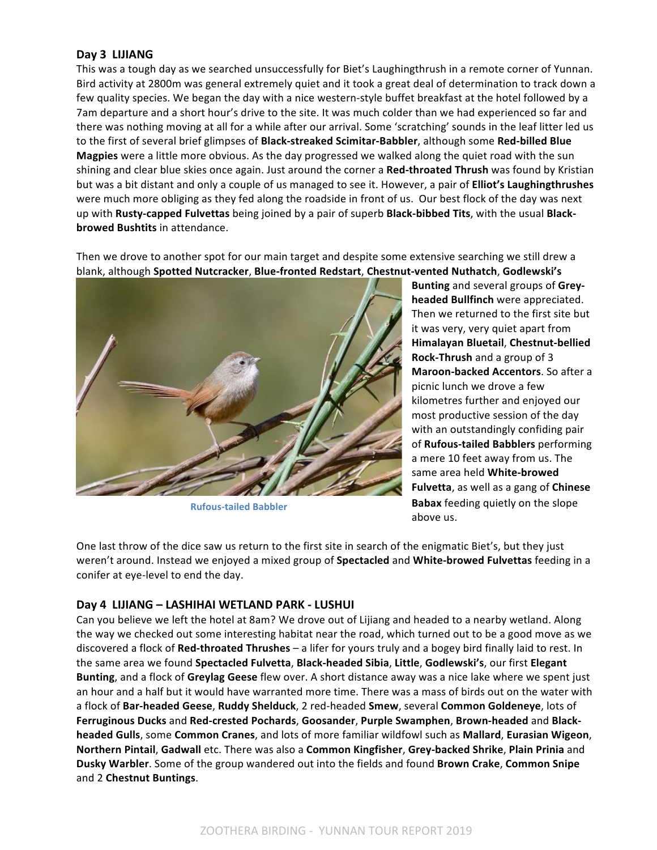# **Day 3 LIJIANG**

This was a tough day as we searched unsuccessfully for Biet's Laughingthrush in a remote corner of Yunnan. Bird activity at 2800m was general extremely quiet and it took a great deal of determination to track down a few quality species. We began the day with a nice western-style buffet breakfast at the hotel followed by a 7am departure and a short hour's drive to the site. It was much colder than we had experienced so far and there was nothing moving at all for a while after our arrival. Some 'scratching' sounds in the leaf litter led us to the first of several brief glimpses of Black-streaked Scimitar-Babbler, although some Red-billed Blue **Magpies** were a little more obvious. As the day progressed we walked along the quiet road with the sun shining and clear blue skies once again. Just around the corner a Red-throated Thrush was found by Kristian but was a bit distant and only a couple of us managed to see it. However, a pair of **Elliot's Laughingthrushes** were much more obliging as they fed along the roadside in front of us. Our best flock of the day was next up with Rusty-capped Fulvettas being joined by a pair of superb Black-bibbed Tits, with the usual Black**browed Bushtits** in attendance.

Then we drove to another spot for our main target and despite some extensive searching we still drew a blank, although Spotted Nutcracker, Blue-fronted Redstart, Chestnut-vented Nuthatch, Godlewski's



**Rufous-tailed Babbler**

**Bunting** and several groups of Grey**headed Bullfinch** were appreciated. Then we returned to the first site but it was very, very quiet apart from **Himalayan Bluetail**, **Chestnut-bellied Rock-Thrush** and a group of 3 **Maroon-backed Accentors**. So after a picnic lunch we drove a few kilometres further and enjoyed our most productive session of the day with an outstandingly confiding pair of **Rufous-tailed Babblers** performing a mere 10 feet away from us. The same area held **White-browed Fulvetta**, as well as a gang of **Chinese Babax** feeding quietly on the slope above us.

One last throw of the dice saw us return to the first site in search of the enigmatic Biet's, but they just weren't around. Instead we enjoyed a mixed group of **Spectacled** and White-browed Fulvettas feeding in a conifer at eye-level to end the day.

# Day 4 LIJIANG - LASHIHAI WETLAND PARK - LUSHUI

Can you believe we left the hotel at 8am? We drove out of Lijiang and headed to a nearby wetland. Along the way we checked out some interesting habitat near the road, which turned out to be a good move as we discovered a flock of Red-throated Thrushes – a lifer for yours truly and a bogey bird finally laid to rest. In the same area we found **Spectacled Fulvetta, Black-headed Sibia, Little, Godlewski's, our first Elegant Bunting**, and a flock of Greylag Geese flew over. A short distance away was a nice lake where we spent just an hour and a half but it would have warranted more time. There was a mass of birds out on the water with a flock of Bar-headed Geese, Ruddy Shelduck, 2 red-headed Smew, several Common Goldeneye, lots of Ferruginous Ducks and Red-crested Pochards, Goosander, Purple Swamphen, Brown-headed and Black**headed Gulls**, some **Common Cranes**, and lots of more familiar wildfowl such as Mallard, Eurasian Wigeon, **Northern Pintail**, **Gadwall** etc. There was also a **Common Kingfisher**, **Grey-backed Shrike**, **Plain Prinia** and **Dusky Warbler**. Some of the group wandered out into the fields and found Brown Crake, Common Snipe and 2 **Chestnut Buntings**.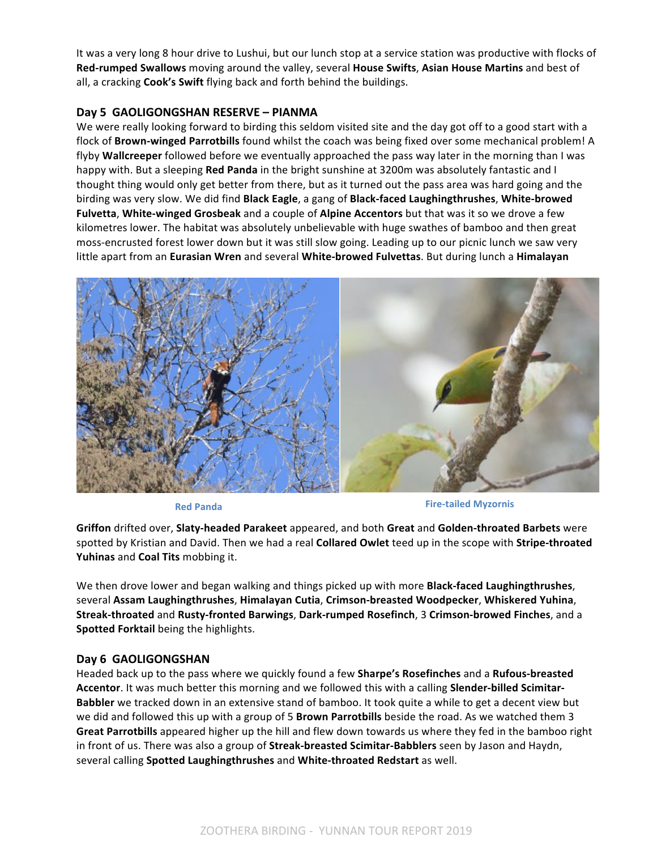It was a very long 8 hour drive to Lushui, but our lunch stop at a service station was productive with flocks of **Red-rumped Swallows** moving around the valley, several **House Swifts, Asian House Martins** and best of all, a cracking **Cook's Swift** flying back and forth behind the buildings.

# Day 5 GAOLIGONGSHAN RESERVE - PIANMA

We were really looking forward to birding this seldom visited site and the day got off to a good start with a flock of **Brown-winged Parrotbills** found whilst the coach was being fixed over some mechanical problem! A flyby Wallcreeper followed before we eventually approached the pass way later in the morning than I was happy with. But a sleeping Red Panda in the bright sunshine at 3200m was absolutely fantastic and I thought thing would only get better from there, but as it turned out the pass area was hard going and the birding was very slow. We did find **Black Eagle**, a gang of **Black-faced Laughingthrushes**, White-browed **Fulvetta, White-winged Grosbeak** and a couple of Alpine Accentors but that was it so we drove a few kilometres lower. The habitat was absolutely unbelievable with huge swathes of bamboo and then great moss-encrusted forest lower down but it was still slow going. Leading up to our picnic lunch we saw very little apart from an Eurasian Wren and several White-browed Fulvettas. But during lunch a Himalayan



**Red Panda Fire-tailed Myzornis** 

**Griffon** drifted over, **Slaty-headed Parakeet** appeared, and both **Great** and **Golden-throated Barbets** were spotted by Kristian and David. Then we had a real **Collared Owlet** teed up in the scope with **Stripe-throated Yuhinas** and **Coal Tits** mobbing it.

We then drove lower and began walking and things picked up with more **Black-faced Laughingthrushes**, several **Assam Laughingthrushes**, **Himalayan Cutia**, **Crimson-breasted Woodpecker**, **Whiskered Yuhina**, **Streak-throated** and **Rusty-fronted Barwings**, **Dark-rumped Rosefinch**, 3 **Crimson-browed Finches**, and a **Spotted Forktail** being the highlights.

# **Day 6 GAOLIGONGSHAN**

Headed back up to the pass where we quickly found a few **Sharpe's Rosefinches** and a **Rufous-breasted** Accentor. It was much better this morning and we followed this with a calling **Slender-billed Scimitar-Babbler** we tracked down in an extensive stand of bamboo. It took quite a while to get a decent view but we did and followed this up with a group of 5 **Brown Parrotbills** beside the road. As we watched them 3 Great Parrotbills appeared higher up the hill and flew down towards us where they fed in the bamboo right in front of us. There was also a group of **Streak-breasted Scimitar-Babblers** seen by Jason and Haydn, several calling Spotted Laughingthrushes and White-throated Redstart as well.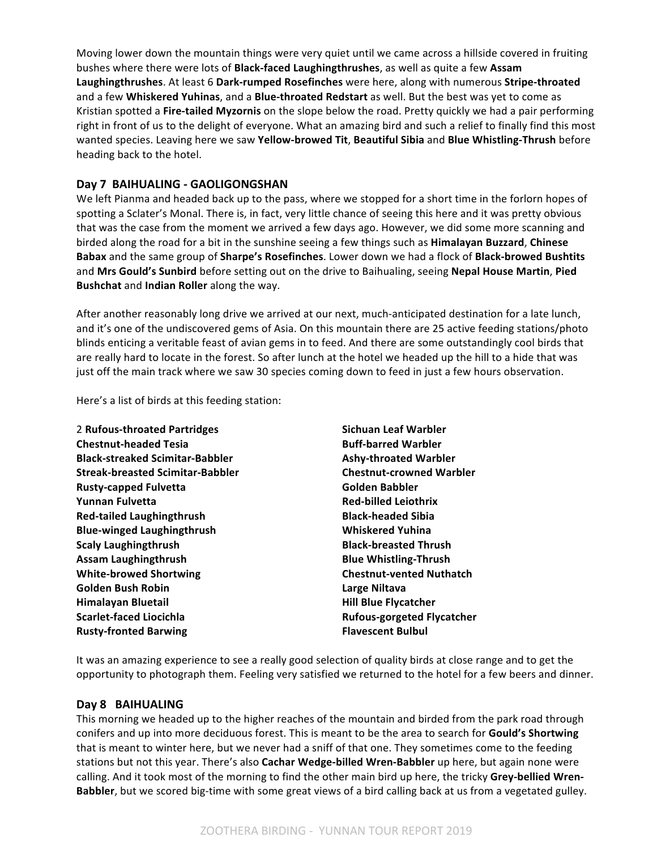Moving lower down the mountain things were very quiet until we came across a hillside covered in fruiting bushes where there were lots of **Black-faced Laughingthrushes**, as well as quite a few Assam Laughingthrushes. At least 6 Dark-rumped Rosefinches were here, along with numerous Stripe-throated and a few Whiskered Yuhinas, and a Blue-throated Redstart as well. But the best was yet to come as Kristian spotted a Fire-tailed Myzornis on the slope below the road. Pretty quickly we had a pair performing right in front of us to the delight of everyone. What an amazing bird and such a relief to finally find this most wanted species. Leaving here we saw Yellow-browed Tit, Beautiful Sibia and Blue Whistling-Thrush before heading back to the hotel.

# **Day 7 BAIHUALING - GAOLIGONGSHAN**

We left Pianma and headed back up to the pass, where we stopped for a short time in the forlorn hopes of spotting a Sclater's Monal. There is, in fact, very little chance of seeing this here and it was pretty obvious that was the case from the moment we arrived a few days ago. However, we did some more scanning and birded along the road for a bit in the sunshine seeing a few things such as **Himalayan Buzzard, Chinese Babax** and the same group of **Sharpe's Rosefinches**. Lower down we had a flock of **Black-browed Bushtits** and Mrs Gould's Sunbird before setting out on the drive to Baihualing, seeing Nepal House Martin, Pied **Bushchat** and **Indian Roller** along the way.

After another reasonably long drive we arrived at our next, much-anticipated destination for a late lunch, and it's one of the undiscovered gems of Asia. On this mountain there are 25 active feeding stations/photo blinds enticing a veritable feast of avian gems in to feed. And there are some outstandingly cool birds that are really hard to locate in the forest. So after lunch at the hotel we headed up the hill to a hide that was just off the main track where we saw 30 species coming down to feed in just a few hours observation.

Here's a list of birds at this feeding station:

| Sichuan Leaf Warbler              |
|-----------------------------------|
| <b>Buff-barred Warbler</b>        |
| <b>Ashy-throated Warbler</b>      |
| <b>Chestnut-crowned Warbler</b>   |
| Golden Babbler                    |
| <b>Red-billed Leiothrix</b>       |
| <b>Black-headed Sibia</b>         |
| <b>Whiskered Yuhina</b>           |
| <b>Black-breasted Thrush</b>      |
| <b>Blue Whistling-Thrush</b>      |
| <b>Chestnut-vented Nuthatch</b>   |
| Large Niltava                     |
| <b>Hill Blue Flycatcher</b>       |
| <b>Rufous-gorgeted Flycatcher</b> |
| <b>Flavescent Bulbul</b>          |
|                                   |

It was an amazing experience to see a really good selection of quality birds at close range and to get the opportunity to photograph them. Feeling very satisfied we returned to the hotel for a few beers and dinner.

# Day 8 **BAIHUALING**

This morning we headed up to the higher reaches of the mountain and birded from the park road through conifers and up into more deciduous forest. This is meant to be the area to search for **Gould's Shortwing** that is meant to winter here, but we never had a sniff of that one. They sometimes come to the feeding stations but not this year. There's also *Cachar Wedge-billed Wren-Babbler* up here, but again none were calling. And it took most of the morning to find the other main bird up here, the tricky Grey-bellied Wren-**Babbler**, but we scored big-time with some great views of a bird calling back at us from a vegetated gulley.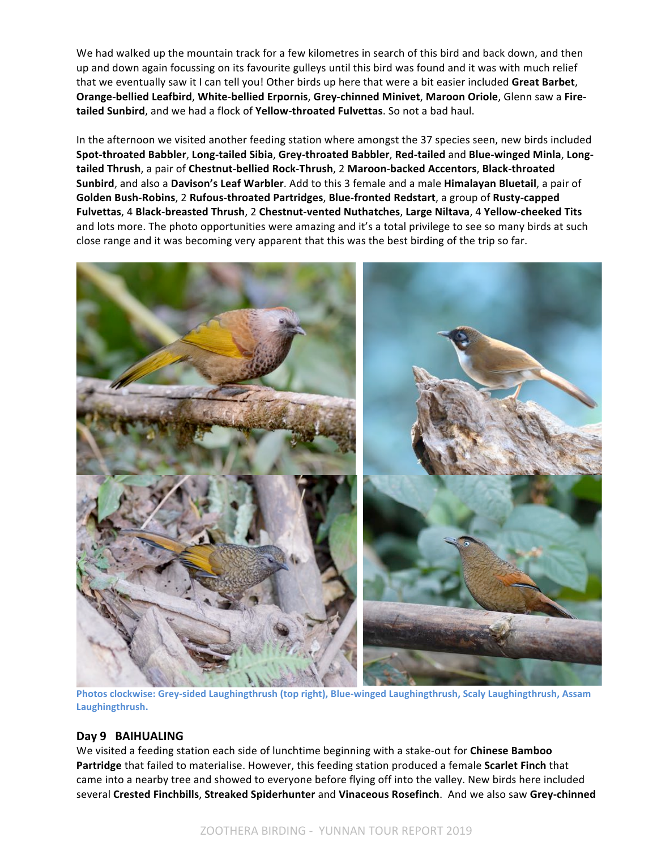We had walked up the mountain track for a few kilometres in search of this bird and back down, and then up and down again focussing on its favourite gulleys until this bird was found and it was with much relief that we eventually saw it I can tell you! Other birds up here that were a bit easier included Great Barbet, **Orange-bellied Leafbird, White-bellied Erpornis, Grey-chinned Minivet, Maroon Oriole, Glenn saw a Fire**tailed Sunbird, and we had a flock of Yellow-throated Fulvettas. So not a bad haul.

In the afternoon we visited another feeding station where amongst the 37 species seen, new birds included **Spot-throated Babbler**, **Long-tailed Sibia**, **Grey-throated Babbler**, **Red-tailed** and **Blue-winged Minla**, **Longtailed Thrush**, a pair of **Chestnut-bellied Rock-Thrush**, 2 **Maroon-backed Accentors**, **Black-throated Sunbird**, and also a Davison's Leaf Warbler. Add to this 3 female and a male Himalayan Bluetail, a pair of **Golden Bush-Robins, 2 Rufous-throated Partridges, Blue-fronted Redstart, a group of Rusty-capped Fulvettas**, 4 **Black-breasted Thrush**, 2 **Chestnut-vented Nuthatches**, **Large Niltava**, 4 **Yellow-cheeked Tits** and lots more. The photo opportunities were amazing and it's a total privilege to see so many birds at such close range and it was becoming very apparent that this was the best birding of the trip so far.



Photos clockwise: Grey-sided Laughingthrush (top right), Blue-winged Laughingthrush, Scaly Laughingthrush, Assam **Laughingthrush.**

#### Day 9 **BAIHUALING**

We visited a feeding station each side of lunchtime beginning with a stake-out for **Chinese Bamboo Partridge** that failed to materialise. However, this feeding station produced a female Scarlet Finch that came into a nearby tree and showed to everyone before flying off into the valley. New birds here included several Crested Finchbills, Streaked Spiderhunter and Vinaceous Rosefinch. And we also saw Grey-chinned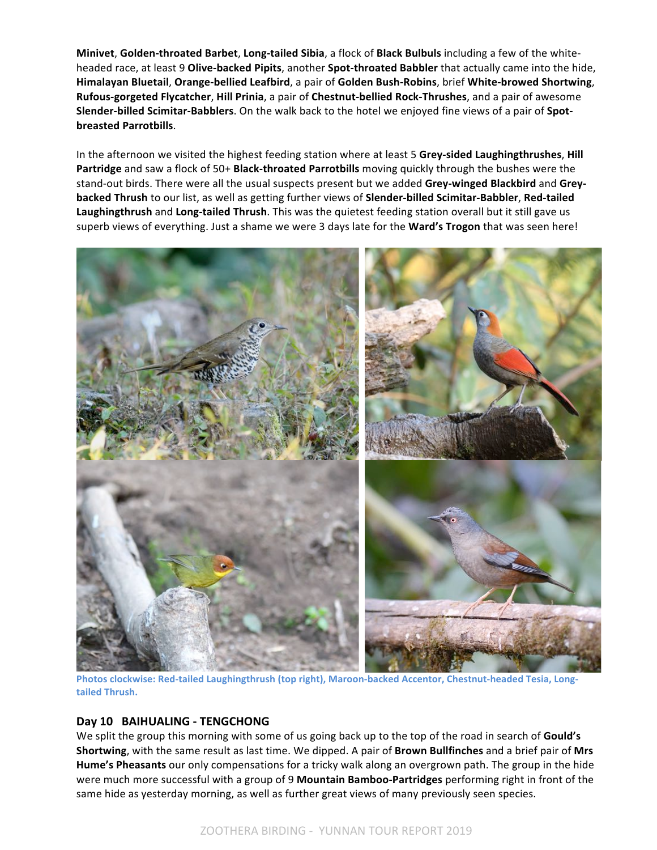**Minivet, Golden-throated Barbet, Long-tailed Sibia, a flock of Black Bulbuls including a few of the white**headed race, at least 9 Olive-backed Pipits, another Spot-throated Babbler that actually came into the hide, **Himalayan Bluetail**, **Orange-bellied Leafbird**, a pair of **Golden Bush-Robins**, brief **White-browed Shortwing**, **Rufous-gorgeted Flycatcher**, **Hill Prinia**, a pair of **Chestnut-bellied Rock-Thrushes**, and a pair of awesome **Slender-billed Scimitar-Babblers**. On the walk back to the hotel we enjoyed fine views of a pair of Spot**breasted Parrotbills**.

In the afternoon we visited the highest feeding station where at least 5 Grey-sided Laughingthrushes, Hill **Partridge** and saw a flock of 50+ **Black-throated Parrotbills** moving quickly through the bushes were the stand-out birds. There were all the usual suspects present but we added Grey-winged Blackbird and Grey**backed Thrush** to our list, as well as getting further views of **Slender-billed Scimitar-Babbler**, Red-tailed Laughingthrush and Long-tailed Thrush. This was the quietest feeding station overall but it still gave us superb views of everything. Just a shame we were 3 days late for the Ward's Trogon that was seen here!



Photos clockwise: Red-tailed Laughingthrush (top right), Maroon-backed Accentor, Chestnut-headed Tesia, Long**tailed Thrush.**

# **Day 10 BAIHUALING - TENGCHONG**

We split the group this morning with some of us going back up to the top of the road in search of **Gould's Shortwing**, with the same result as last time. We dipped. A pair of **Brown Bullfinches** and a brief pair of Mrs **Hume's Pheasants** our only compensations for a tricky walk along an overgrown path. The group in the hide were much more successful with a group of 9 Mountain Bamboo-Partridges performing right in front of the same hide as yesterday morning, as well as further great views of many previously seen species.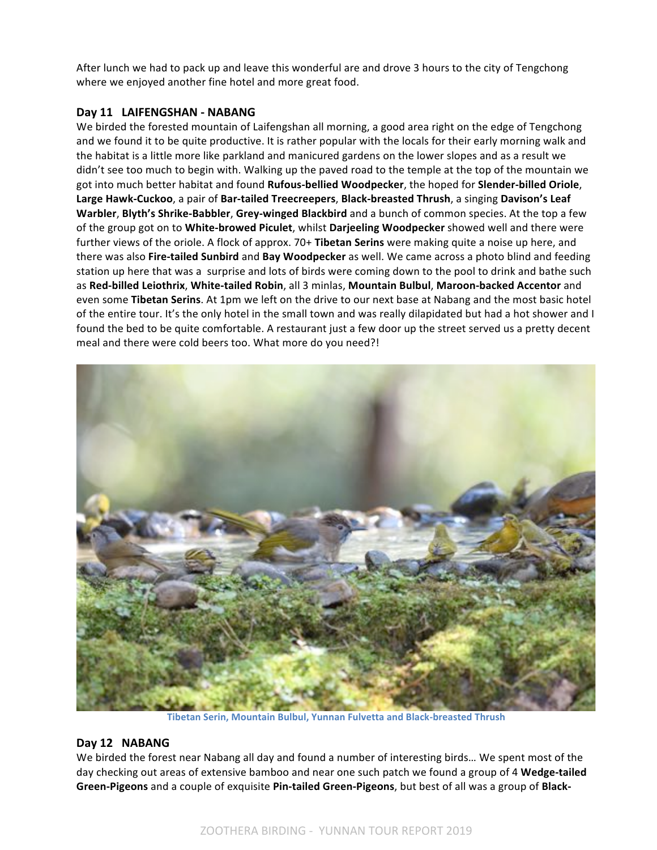After lunch we had to pack up and leave this wonderful are and drove 3 hours to the city of Tengchong where we enjoyed another fine hotel and more great food.

# Day 11 LAIFENGSHAN - NABANG

We birded the forested mountain of Laifengshan all morning, a good area right on the edge of Tengchong and we found it to be quite productive. It is rather popular with the locals for their early morning walk and the habitat is a little more like parkland and manicured gardens on the lower slopes and as a result we didn't see too much to begin with. Walking up the paved road to the temple at the top of the mountain we got into much better habitat and found **Rufous-bellied Woodpecker**, the hoped for **Slender-billed Oriole**, Large Hawk-Cuckoo, a pair of Bar-tailed Treecreepers, Black-breasted Thrush, a singing Davison's Leaf **Warbler, Blyth's Shrike-Babbler, Grey-winged Blackbird and a bunch of common species. At the top a few** of the group got on to White-browed Piculet, whilst Darjeeling Woodpecker showed well and there were further views of the oriole. A flock of approx. 70+ Tibetan Serins were making quite a noise up here, and there was also **Fire-tailed Sunbird** and **Bay Woodpecker** as well. We came across a photo blind and feeding station up here that was a surprise and lots of birds were coming down to the pool to drink and bathe such as **Red-billed Leiothrix**, **White-tailed Robin**, all 3 minlas, **Mountain Bulbul**, **Maroon-backed Accentor** and even some Tibetan Serins. At 1pm we left on the drive to our next base at Nabang and the most basic hotel of the entire tour. It's the only hotel in the small town and was really dilapidated but had a hot shower and I found the bed to be quite comfortable. A restaurant just a few door up the street served us a pretty decent meal and there were cold beers too. What more do you need?!



**Tibetan Serin, Mountain Bulbul, Yunnan Fulvetta and Black-breasted Thrush** 

# Day 12 NABANG

We birded the forest near Nabang all day and found a number of interesting birds... We spent most of the day checking out areas of extensive bamboo and near one such patch we found a group of 4 Wedge-tailed **Green-Pigeons** and a couple of exquisite Pin-tailed Green-Pigeons, but best of all was a group of Black-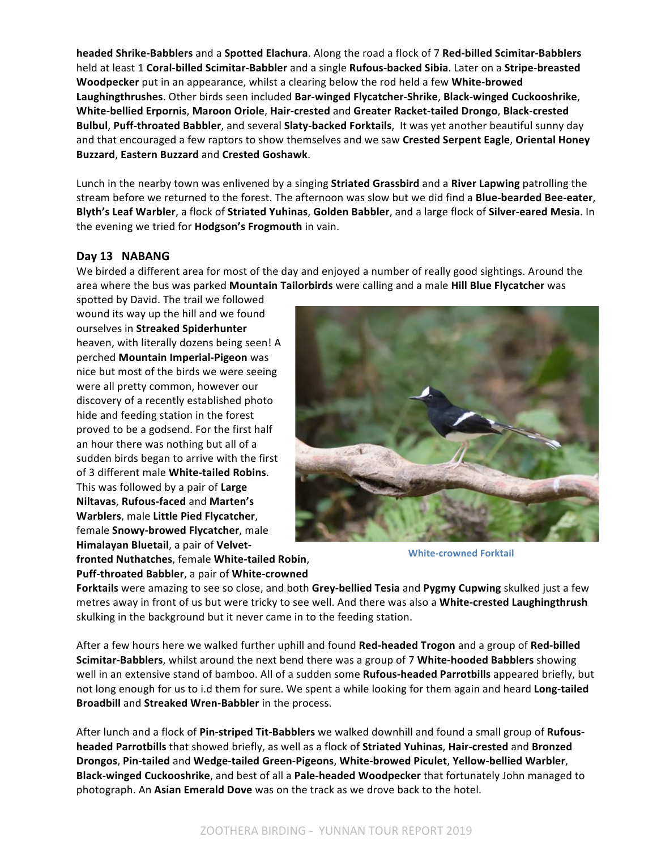**headed Shrike-Babblers** and a **Spotted Elachura**. Along the road a flock of 7 **Red-billed Scimitar-Babblers** held at least 1 **Coral-billed Scimitar-Babbler** and a single **Rufous-backed Sibia**. Later on a **Stripe-breasted Woodpecker** put in an appearance, whilst a clearing below the rod held a few White-browed **Laughingthrushes**. Other birds seen included **Bar-winged Flycatcher-Shrike**, **Black-winged Cuckooshrike**, **White-bellied Erpornis**, **Maroon Oriole**, **Hair-crested** and **Greater Racket-tailed Drongo**, **Black-crested Bulbul, Puff-throated Babbler**, and several **Slaty-backed Forktails**, It was yet another beautiful sunny day and that encouraged a few raptors to show themselves and we saw Crested Serpent Eagle, Oriental Honey **Buzzard**, **Eastern Buzzard** and **Crested Goshawk**.

Lunch in the nearby town was enlivened by a singing **Striated Grassbird** and a **River Lapwing** patrolling the stream before we returned to the forest. The afternoon was slow but we did find a **Blue-bearded Bee-eater**, **Blyth's Leaf Warbler**, a flock of Striated Yuhinas, Golden Babbler, and a large flock of Silver-eared Mesia. In the evening we tried for **Hodgson's Frogmouth** in vain.

# Day 13 **NABANG**

We birded a different area for most of the day and enjoyed a number of really good sightings. Around the area where the bus was parked Mountain Tailorbirds were calling and a male Hill Blue Flycatcher was

spotted by David. The trail we followed wound its way up the hill and we found ourselves in **Streaked Spiderhunter** heaven, with literally dozens being seen! A perched **Mountain Imperial-Pigeon** was nice but most of the birds we were seeing were all pretty common, however our discovery of a recently established photo hide and feeding station in the forest proved to be a godsend. For the first half an hour there was nothing but all of a sudden birds began to arrive with the first of 3 different male **White-tailed Robins**. This was followed by a pair of Large **Niltavas, Rufous-faced** and Marten's **Warblers**, male Little Pied Flycatcher, female **Snowy-browed Flycatcher**, male Himalayan Bluetail, a pair of Velvet**fronted Nuthatches**, female **White-tailed Robin**,

**Puff-throated Babbler**, a pair of White-crowned



**White-crowned Forktail** 

**Forktails** were amazing to see so close, and both Grey-bellied Tesia and Pygmy Cupwing skulked just a few metres away in front of us but were tricky to see well. And there was also a White-crested Laughingthrush skulking in the background but it never came in to the feeding station.

After a few hours here we walked further uphill and found **Red-headed Trogon** and a group of **Red-billed Scimitar-Babblers**, whilst around the next bend there was a group of 7 White-hooded Babblers showing well in an extensive stand of bamboo. All of a sudden some **Rufous-headed Parrotbills** appeared briefly, but not long enough for us to i.d them for sure. We spent a while looking for them again and heard **Long-tailed Broadbill** and **Streaked Wren-Babbler** in the process.

After lunch and a flock of Pin-striped Tit-Babblers we walked downhill and found a small group of Rufous**headed Parrotbills** that showed briefly, as well as a flock of Striated Yuhinas, Hair-crested and Bronzed **Drongos**, **Pin-tailed** and **Wedge-tailed Green-Pigeons**, **White-browed Piculet**, **Yellow-bellied Warbler**, **Black-winged Cuckooshrike**, and best of all a **Pale-headed Woodpecker** that fortunately John managed to photograph. An **Asian Emerald Dove** was on the track as we drove back to the hotel.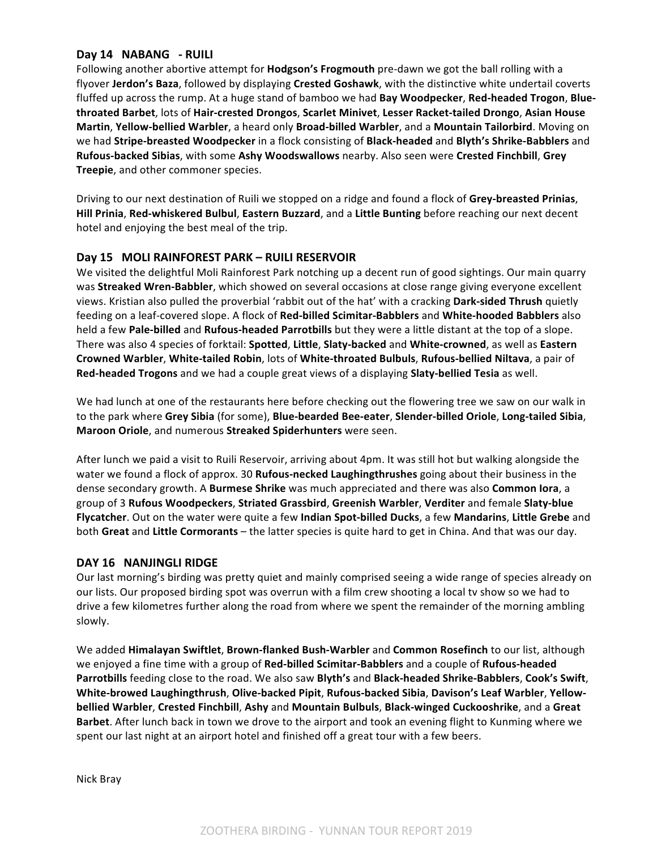# Day 14 NABANG - RUILI

Following another abortive attempt for **Hodgson's Frogmouth** pre-dawn we got the ball rolling with a flyover Jerdon's Baza, followed by displaying Crested Goshawk, with the distinctive white undertail coverts fluffed up across the rump. At a huge stand of bamboo we had **Bay Woodpecker, Red-headed Trogon, Bluethroated Barbet**, lots of **Hair-crested Drongos**, **Scarlet Minivet**, **Lesser Racket-tailed Drongo**, **Asian House Martin, Yellow-bellied Warbler**, a heard only **Broad-billed Warbler**, and a Mountain Tailorbird. Moving on we had **Stripe-breasted Woodpecker** in a flock consisting of **Black-headed** and **Blyth's Shrike-Babblers** and **Rufous-backed Sibias**, with some Ashy Woodswallows nearby. Also seen were Crested Finchbill, Grey **Treepie**, and other commoner species.

Driving to our next destination of Ruili we stopped on a ridge and found a flock of Grey-breasted Prinias, **Hill Prinia, Red-whiskered Bulbul, Eastern Buzzard, and a Little Bunting before reaching our next decent** hotel and enjoying the best meal of the trip.

# Day 15 MOLI RAINFOREST PARK – RUILI RESERVOIR

We visited the delightful Moli Rainforest Park notching up a decent run of good sightings. Our main quarry was **Streaked Wren-Babbler**, which showed on several occasions at close range giving everyone excellent views. Kristian also pulled the proverbial 'rabbit out of the hat' with a cracking Dark-sided Thrush quietly feeding on a leaf-covered slope. A flock of Red-billed Scimitar-Babblers and White-hooded Babblers also held a few Pale-billed and Rufous-headed Parrotbills but they were a little distant at the top of a slope. There was also 4 species of forktail: **Spotted, Little, Slaty-backed** and **White-crowned**, as well as Eastern **Crowned Warbler**, **White-tailed Robin**, lots of **White-throated Bulbuls**, **Rufous-bellied Niltava**, a pair of **Red-headed Trogons** and we had a couple great views of a displaying **Slaty-bellied Tesia** as well.

We had lunch at one of the restaurants here before checking out the flowering tree we saw on our walk in to the park where Grey Sibia (for some), Blue-bearded Bee-eater, Slender-billed Oriole, Long-tailed Sibia, **Maroon Oriole**, and numerous Streaked Spiderhunters were seen.

After lunch we paid a visit to Ruili Reservoir, arriving about 4pm. It was still hot but walking alongside the water we found a flock of approx. 30 **Rufous-necked Laughingthrushes** going about their business in the dense secondary growth. A Burmese Shrike was much appreciated and there was also Common lora, a group of 3 Rufous Woodpeckers, Striated Grassbird, Greenish Warbler, Verditer and female Slaty-blue Flycatcher. Out on the water were quite a few Indian Spot-billed Ducks, a few Mandarins, Little Grebe and both Great and Little Cormorants – the latter species is quite hard to get in China. And that was our day.

# DAY 16 NANJINGLI RIDGE

Our last morning's birding was pretty quiet and mainly comprised seeing a wide range of species already on our lists. Our proposed birding spot was overrun with a film crew shooting a local tv show so we had to drive a few kilometres further along the road from where we spent the remainder of the morning ambling slowly. 

We added **Himalayan Swiftlet, Brown-flanked Bush-Warbler** and Common Rosefinch to our list, although we enjoyed a fine time with a group of Red-billed Scimitar-Babblers and a couple of Rufous-headed Parrotbills feeding close to the road. We also saw Blyth's and Black-headed Shrike-Babblers, Cook's Swift, **White-browed Laughingthrush**, **Olive-backed Pipit**, **Rufous-backed Sibia**, **Davison's Leaf Warbler**, **Yellowbellied Warbler**, **Crested Finchbill**, **Ashy** and **Mountain Bulbuls**, **Black-winged Cuckooshrike**, and a **Great Barbet**. After lunch back in town we drove to the airport and took an evening flight to Kunming where we spent our last night at an airport hotel and finished off a great tour with a few beers.

Nick Bray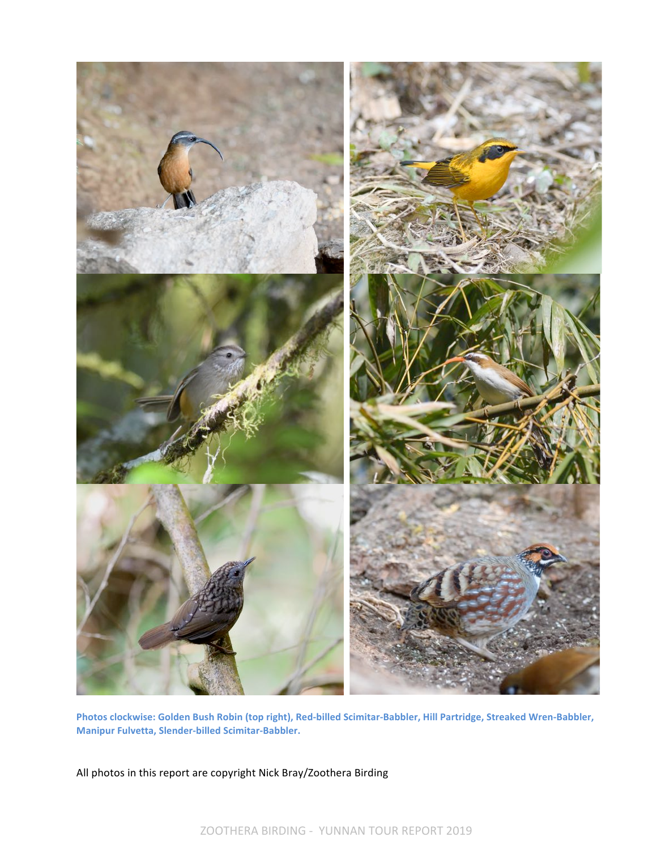

Photos clockwise: Golden Bush Robin (top right), Red-billed Scimitar-Babbler, Hill Partridge, Streaked Wren-Babbler, **Manipur Fulvetta, Slender-billed Scimitar-Babbler.**

All photos in this report are copyright Nick Bray/Zoothera Birding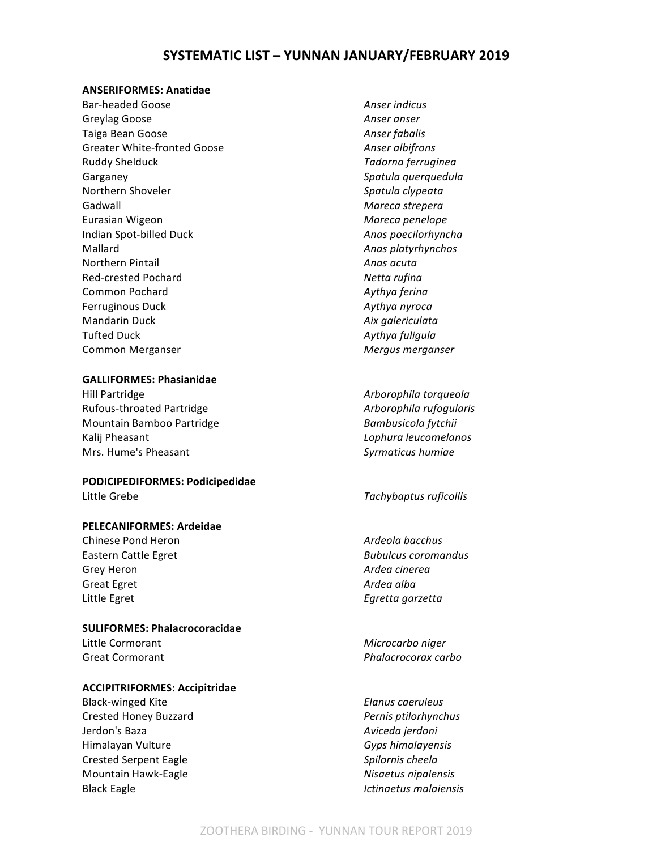# **SYSTEMATIC LIST – YUNNAN JANUARY/FEBRUARY 2019**

#### **ANSERIFORMES: Anatidae**

Bar-headed Goose *Anser indicus* Greylag Goose **Anser anser Anser anser** Taiga Bean Goose **Anser fabalis Anser fabalis** Greater White-fronted Goose **Anser albifrons** *Anser albifrons* Ruddy Shelduck *Tadorna ferruginea* Garganey **Garganey Spatula** querquedula Northern Shoveler *Spatula clypeata* Gadwall **Gadwall Gadwall Gadwall Gadwall Mareca** strepera Eurasian Wigeon *Mareca penelope* Indian Spot-billed Duck *Anas poecilorhyncha* Mallard **Anas platyrhynchos Anas platyrhynchos** *Anas platyrhynchos* **Northern Pintail** *Anas acuta* Red-crested Pochard **Netta** rufina Common Pochard **Aythya** ferina Ferruginous Duck *Aythya nyroca* **Mandarin Duck** *Aix galericulata* Tufted Duck *Aythya fuligula* Common Merganser *Mergus merganser* 

#### **GALLIFORMES: Phasianidae**

Hill Partridge **Arborophila** torqueola Rufous-throated Partridge *Arborophila rufogularis Arborophila rufogularis* Mountain Bamboo Partridge *Bambusicola fytchii* Kalij Pheasant *Lophura leucomelanos* Mrs. Hume's Pheasant **Syrmaticus** humiae **Syrmaticus** humiae

#### **PODICIPEDIFORMES: Podicipedidae** Little Grebe *Tachybaptus ruficollis*

**PELECANIFORMES: Ardeidae**

Chinese Pond Heron *Ardeola bacchus* Eastern Cattle Egret **Bubulcus** *Bubulcus coromandus Bubulcus coromandus* Grey Heron *Ardea cinerea* Great Egret **Ardea** alba Little Egret **Egretta** garzetta

**SULIFORMES: Phalacrocoracidae** Little Cormorant **Microcarbo** niger

#### **ACCIPITRIFORMES: Accipitridae**

Black-winged Kite **Elanus** caeruleus Crested Honey Buzzard *Pernis ptilorhynchus* Jerdon's Baza *Aviceda jerdoni* Himalayan Vulture *Gyps himalayensis* Crested Serpent Eagle **Spilornis** *Crested Serpent Eagle* **Spilornis** *Cheela* Mountain Hawk-Eagle *Nisaetus nipalensis* Black Eagle **Internal Community Ictinaetus** malaiensis

Great Cormorant *Phalacrocorax carbo*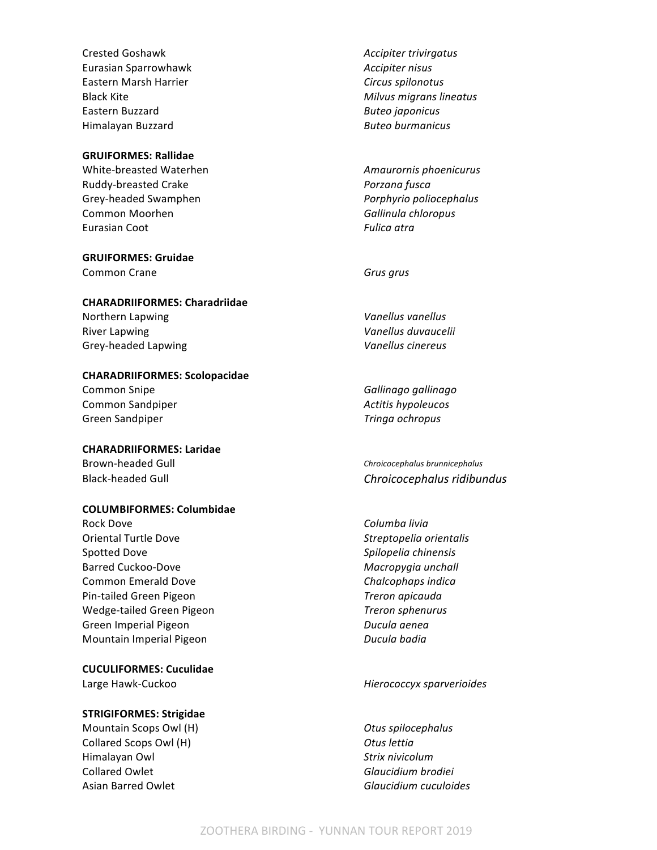Crested Goshawk *Accipiter trivirgatus* **Eurasian Sparrowhawk Accipiter nisus** *Accipiter nisus* Eastern Marsh Harrier **Circus** Spilonotus Black Kite **Milion Community Community** *Milvus migrans lineatus Milvus migrans lineatus* Eastern Buzzard **Buteo** *Buteo japonicus* **Buteo** *Buteo japonicus* Himalayan Buzzard *Buteo burmanicus*

#### **GRUIFORMES: Rallidae**

Ruddy-breasted Crake *Porzana fusca* Grey-headed Swamphen *Porphyrio poliocephalus* Common Moorhen **Gallinula** chloropus **Gallinula** chloropus **Eurasian Coot** *Fulica atra* 

# **GRUIFORMES: Gruidae**

**Common Crane Grus** grus

#### **CHARADRIIFORMES: Charadriidae**

Northern Lapwing *Vanellus vanellus* River Lapwing *Vanellus duvaucelii* Grey-headed Lapwing *Vanellus cinereus* 

#### **CHARADRIIFORMES: Scolopacidae**

Common Snipe **Gallinago** *Gallinago gallinago* **Common Sandpiper** *Actitis hypoleucos Actitis hypoleucos* Green Sandpiper *Tringa ochropus Tringa ochropus* 

### **CHARADRIIFORMES: Laridae**

Brown-headed Gull **Chronnell Chronnell Chronnell Chronnell** Chroicocephalus brunnicephalus

#### **COLUMBIFORMES: Columbidae**

Rock Dove **Columba** livia Oriental Turtle Dove *Streptopelia orientalis* Spotted Dove *Spilopelia chinensis* Barred Cuckoo-Dove *Macropygia unchall* Common Emerald Dove **Chalcophaps** indica Pin-tailed Green Pigeon *Treron apicauda* Wedge-tailed Green Pigeon *Treron sphenurus* Green Imperial Pigeon *Ducula aenea* Mountain Imperial Pigeon *Ducula badia* 

#### **CUCULIFORMES: Cuculidae**

#### **STRIGIFORMES: Strigidae**

Mountain Scops Owl (H) *Otus spilocephalus* Collared Scops Owl (H) *Otus lettia* Himalayan Owl *Strix nivicolum* Collared Owlet *Glaucidium brodiei* Asian Barred Owlet *Glaucidium cuculoides*

White-breasted Waterhen **Amaurornis** phoenicurus **Amaurornis** phoenicurus

Black-headed Gull **Chroicocephalus ridibundus** 

#### Large Hawk-Cuckoo *Hierococcyx sparverioides*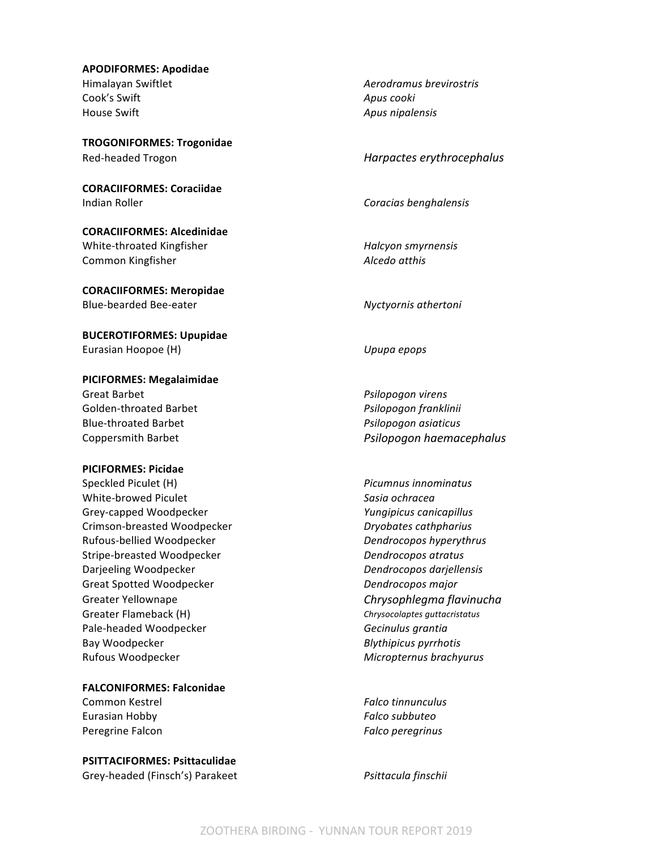# **APODIFORMES: Apodidae** Himalayan Swiftlet *Aerodramus brevirostris* Cook's Swift **Apus** cooki House Swift **Apus** nipalensis

**TROGONIFORMES: Trogonidae** Red-headed Trogon *Harpactes erythrocephalus* 

**CORACIIFORMES: Coraciidae Indian Roller Coracias benghalensis Coracias benghalensis** 

**CORACIIFORMES: Alcedinidae** White-throated Kingfisher *Halcyon smyrnensis* **Common Kingfisher** *Alcedo atthis* 

**CORACIIFORMES: Meropidae** Blue-bearded Bee-eater *Nyctyornis athertoni* 

**BUCEROTIFORMES: Upupidae** Eurasian Hoopoe (H) **Internal Contract Contract Contract Contract Contract Contract Contract Contract Contract Contract Contract Contract Contract Contract Contract Contract Contract Contract Contract Contract Contract Con** 

**PICIFORMES: Megalaimidae**

Golden-throated Barbet *Psilopogon franklinii* Blue-throated Barbet *Psilopogon asiaticus*

#### **PICIFORMES: Picidae**

Speckled Piculet (H) *Picumnus innominatus Picumnus innominatus* White-browed Piculet *Sasia ochracea* Grey-capped Woodpecker *Yungipicus canicapillus* Crimson-breasted Woodpecker *Dryobates cathpharius* Rufous-bellied Woodpecker *Dendrocopos hyperythrus* Stripe-breasted Woodpecker **Dendrocopos** atratus Darjeeling Woodpecker *Dendrocopos darjellensis* Great Spotted Woodpecker **Dendrocopos** major Greater Yellownape *Chrysophlegma flavinucha* Greater Flameback (H) **Chrysocolaptes** guttacristatus chrysocolaptes guttacristatus Pale-headed Woodpecker **Figure 2018 Gecinulus** grantia Bay Woodpecker **Blythipicus** pyrrhotis Rufous Woodpecker **Micropternus** brachyurus **Micropternus** brachyurus

**FALCONIFORMES: Falconidae** 

Eurasian Hobby *Falco subbuteo* Peregrine Falcon *Falco Falco Falco Falco Falco Falco Falco Falco Falco Falco Falco Falco Falco Falco Falco Falco Falco Falco Falco Falco Falco Falco Falco Falco Falco Fa* 

**PSITTACIFORMES: Psittaculidae**

Grey-headed (Finsch's) Parakeet *Psittacula finschii* 

Great Barbet *Psilopogon virens* Coppersmith Barbet *Psilopogon haemacephalus*

Common Kestrel *Falco tinnunculus*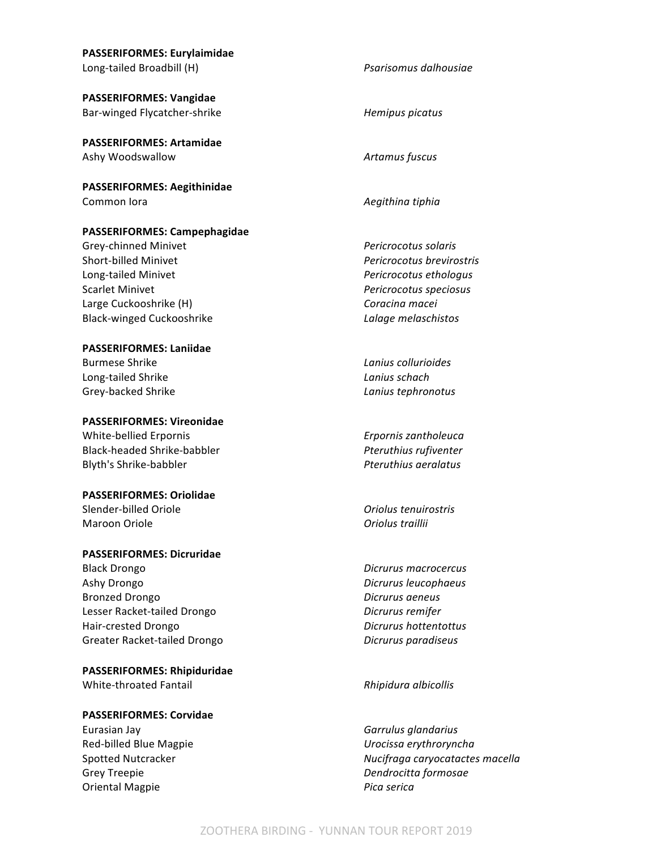| <b>PASSERIFORMES: Eurylaimidae</b>  |                                 |
|-------------------------------------|---------------------------------|
| Long-tailed Broadbill (H)           | Psarisomus dalhousiae           |
| <b>PASSERIFORMES: Vangidae</b>      |                                 |
| Bar-winged Flycatcher-shrike        | Hemipus picatus                 |
| <b>PASSERIFORMES: Artamidae</b>     |                                 |
| Ashy Woodswallow                    | Artamus fuscus                  |
| <b>PASSERIFORMES: Aegithinidae</b>  |                                 |
| Common lora                         | Aegithina tiphia                |
| <b>PASSERIFORMES: Campephagidae</b> |                                 |
| Grey-chinned Minivet                | Pericrocotus solaris            |
| Short-billed Minivet                | Pericrocotus brevirostris       |
| Long-tailed Minivet                 | Pericrocotus ethologus          |
| <b>Scarlet Minivet</b>              | Pericrocotus speciosus          |
| Large Cuckooshrike (H)              | Coracina macei                  |
| <b>Black-winged Cuckooshrike</b>    | Lalage melaschistos             |
| <b>PASSERIFORMES: Laniidae</b>      |                                 |
| <b>Burmese Shrike</b>               | Lanius collurioides             |
| Long-tailed Shrike                  | Lanius schach                   |
| Grey-backed Shrike                  | Lanius tephronotus              |
| <b>PASSERIFORMES: Vireonidae</b>    |                                 |
| White-bellied Erpornis              | Erpornis zantholeuca            |
| Black-headed Shrike-babbler         | Pteruthius rufiventer           |
| Blyth's Shrike-babbler              | Pteruthius aeralatus            |
| <b>PASSERIFORMES: Oriolidae</b>     |                                 |
| Slender-billed Oriole               | Oriolus tenuirostris            |
| Maroon Oriole                       | Oriolus traillii                |
| <b>PASSERIFORMES: Dicruridae</b>    |                                 |
| <b>Black Drongo</b>                 | Dicrurus macrocercus            |
| Ashy Drongo                         | Dicrurus leucophaeus            |
| <b>Bronzed Drongo</b>               | Dicrurus aeneus                 |
| Lesser Racket-tailed Drongo         | Dicrurus remifer                |
| Hair-crested Drongo                 | Dicrurus hottentottus           |
| Greater Racket-tailed Drongo        | Dicrurus paradiseus             |
| <b>PASSERIFORMES: Rhipiduridae</b>  |                                 |
| White-throated Fantail              | Rhipidura albicollis            |
| <b>PASSERIFORMES: Corvidae</b>      |                                 |
| Eurasian Jay                        | Garrulus glandarius             |
| Red-billed Blue Magpie              | Urocissa erythroryncha          |
| Spotted Nutcracker                  | Nucifraga caryocatactes macella |

Grey Treepie *Dendrocitta formosae* 

Oriental Magpie *Pica serica*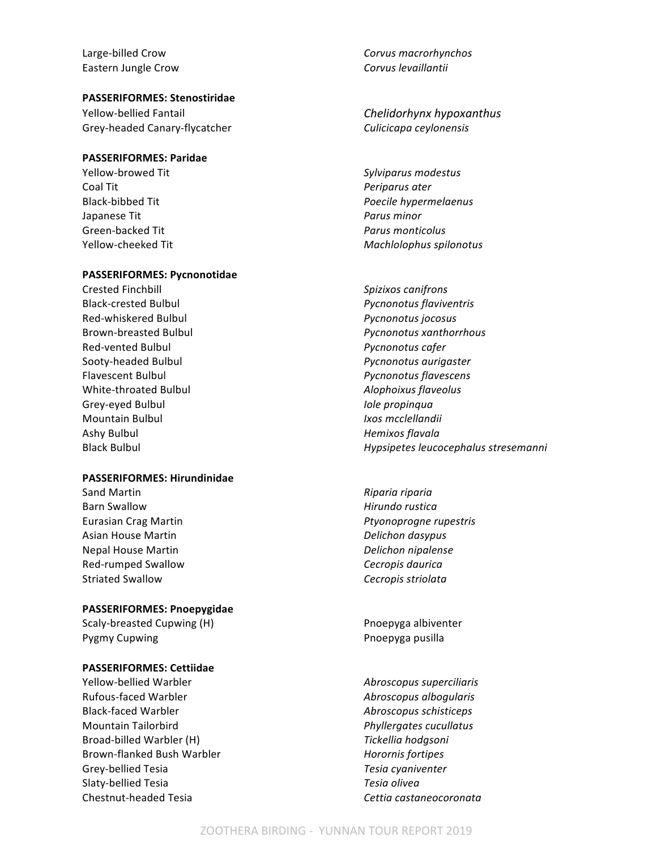Eastern Jungle Crow **Corvus** *Corvus levaillantii* **Corvus** *Corvus levaillantii* 

#### **PASSERIFORMES: Stenostiridae**

Yellow-bellied Fantail *Chelidorhynx hypoxanthus* Grey-headed Canary-flycatcher *Culicicapa ceylonensis* 

#### **PASSERIFORMES: Paridae**

Yellow-browed Tit *Sylviparus modestus* **Coal Tit** *Periparus ater* Japanese Tit *Parus minor* Green-backed Tit *Parus monticolus* 

#### **PASSERIFORMES: Pycnonotidae**

Crested Finchbill *Spizixos canifrons* Black-crested Bulbul *Pycnonotus flaviventris* Red-whiskered Bulbul *Pycnonotus jocosus* Red-vented Bulbul *Pycnonotus cafer* Sooty-headed Bulbul *Pycnonotus aurigaster* Flavescent Bulbul *Pycnonotus flavescens* White-throated Bulbul *Alophoixus flaveolus* Grey-eyed Bulbul *Iole propinqua* Mountain Bulbul *Ixos mcclellandii* Ashy Bulbul *Hemixos flavala* 

#### **PASSERIFORMES: Hirundinidae**

Sand Martin *Riparia riparia Riparia riparia* Barn Swallow **Allow Hirundo** rustica Asian House Martin *Delichon dasypus* Nepal House Martin *Delichon nipalense* Red-rumped Swallow **CECT AND REDUCE CONSTRUSTED SWALLON** Cecropis daurica Striated Swallow **CEC 1988** Striated Swallow **CEC 1988** Cecropis striolata

#### **PASSERIFORMES: Pnoepygidae**

Scaly-breasted Cupwing (H) example a proportional proportional proportional proportional proportional proportion of  $P$ 

#### **PASSERIFORMES: Cettiidae**

Yellow-bellied Warbler *Abroscopus superciliaris* Rufous-faced Warbler **Abroscopus** albogularis Black-faced Warbler *Abroscopus schisticeps* Mountain Tailorbird *Phyllergates cucullatus* Broad-billed Warbler (H) **Tickellia** hodgsoni Brown-flanked Bush Warbler **Horornis** *Horornis fortipes* Grey-bellied Tesia *Tesia cyaniventer* Slaty-bellied Tesia *Tesia olivea* Chestnut-headed Tesia *Cettia castaneocoronata*

Large-billed Crow **Corvus** macrorhynchos

Black-bibbed Tit *Poecile hypermelaenus* Yellow-cheeked Tit *Machlolophus spilonotus*

Brown-breasted Bulbul *Pycnonotus xanthorrhous* Black Bulbul *Hypsipetes leucocephalus stresemanni*

Eurasian Crag Martin *Ptyonoprogne rupestris*

Pygmy Cupwing **Prophetical Contract Contract Contract Contract Contract Contract Contract Prophetic Contract Contract Contract Prophetic Contract Contract Contract Contract Contract Contract Contract Contract Contract Cont**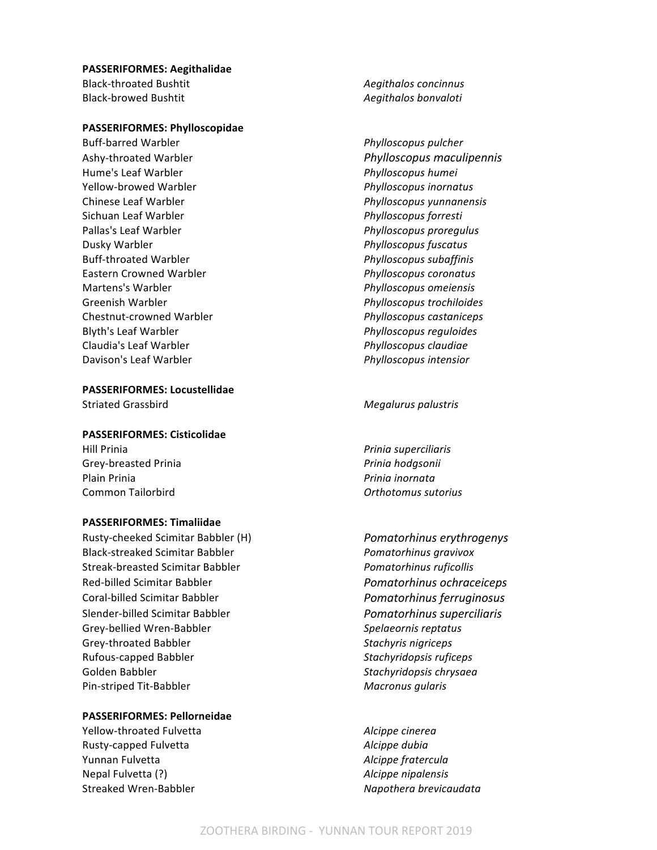#### **PASSERIFORMES: Aegithalidae**

Black-throated Bushtit *Aegithalos concinnus* Black-browed Bushtit *Aegithalos bonvaloti*

#### **PASSERIFORMES: Phylloscopidae**

Buff-barred Warbler *Phylloscopus pulcher Phylloscopus pulcher* Hume's Leaf Warbler *Phylloscopus humei Phylloscopus humei* Yellow-browed Warbler *Phylloscopus inornatus* Chinese Leaf Warbler *Phylloscopus yunnanensis* Sichuan Leaf Warbler *Phylloscopus forresti* Pallas's Leaf Warbler *Phylloscopus proregulus* Dusky Warbler *Phylloscopus fuscatus Phylloscopus fuscatus* Buff-throated Warbler *Phylloscopus subaffinis* Eastern Crowned Warbler *Phylloscopus coronatus* Martens's Warbler *Phylloscopus omeiensis* Greenish Warbler *Phylloscopus trochiloides* Chestnut-crowned Warbler *Phylloscopus castaniceps* Blyth's Leaf Warbler *Phylloscopus reguloides* Claudia's Leaf Warbler *Phylloscopus claudiae* Davison's Leaf Warbler *Phylloscopus intensior* 

### **PASSERIFORMES: Locustellidae**

#### **PASSERIFORMES: Cisticolidae**

Hill Prinia *Prinia superciliaris* Grey-breasted Prinia *Prinia Prinia hodgsonii* Plain Prinia *Prinia inornata* **Common Tailorbird Common Tailor Common Tailor** *Orthotomus sutorius* 

#### **PASSERIFORMES: Timaliidae**

Rusty-cheeked Scimitar Babbler (H) *Pomatorhinus erythrogenys* Black-streaked Scimitar Babbler *Pomatorhinus gravivox* Streak-breasted Scimitar Babbler *Pomatorhinus ruficollis* Red-billed Scimitar Babbler *Pomatorhinus ochraceiceps* Coral-billed Scimitar Babbler *Pomatorhinus ferruginosus* Slender-billed Scimitar Babbler *Pomatorhinus superciliaris* Grey-bellied Wren-Babbler *Spelaeornis reptatus Spelaeornis* reptatus Grey-throated Babbler **Stachyris** nigriceps **Stachyris** nigriceps Rufous-capped Babbler *Stachyridopsis ruficeps* Golden Babbler **Stachyridopsis** chrysaea Pin-striped Tit-Babbler **Macronus** qularis

# **PASSERIFORMES: Pellorneidae**

Yellow-throated Fulvetta *Alcippe cinerea* Rusty-capped Fulvetta *Alcippe dubia* Yunnan Fulvetta *Alcippe fratercula* Nepal Fulvetta (?) *Alcippe nipalensis* Streaked Wren-Babbler *Napothera brevicaudata* 

Ashy-throated Warbler *Phylloscopus maculipennis*

#### Striated Grassbird **Megalurus** palustris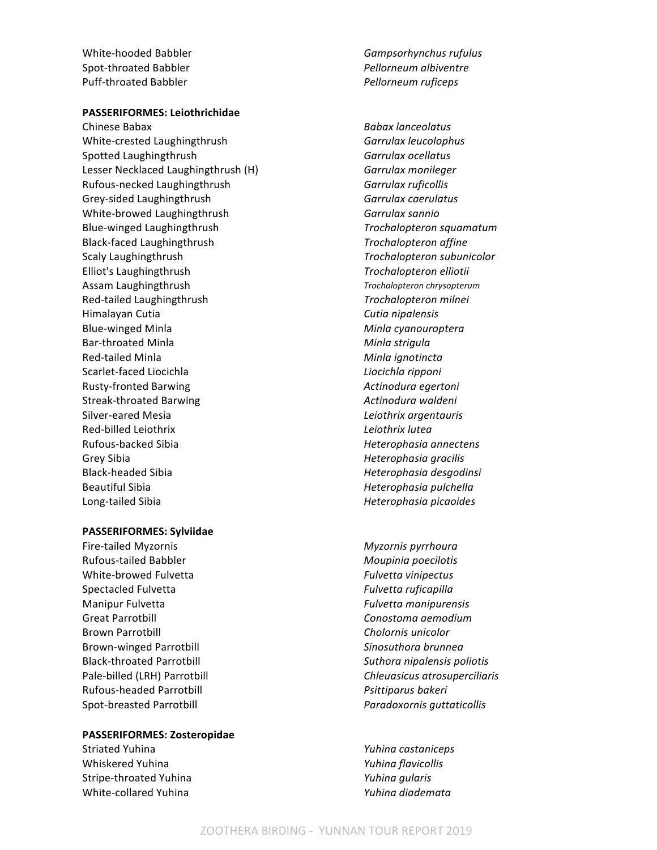Spot-throated Babbler *Pellorneum albiventre* Puff-throated Babbler *Pellorneum ruficeps*

#### **PASSERIFORMES: Leiothrichidae**

Chinese Babax *Babax lanceolatus* White-crested Laughingthrush **Garrulax** *Garrulax leucolophus* Spotted Laughingthrush **Garrulax** ocellatus **Garrulax** ocellatus Lesser Necklaced Laughingthrush (H) *Garrulax monileger* Rufous-necked Laughingthrush **Garrulax** ruficollis Grey-sided Laughingthrush **Garrulax** Caerulatus **Garrulax** caerulatus White-browed Laughingthrush **Garrulax** sannio Blue-winged Laughingthrush *Trochalopteron squamatum* Black-faced Laughingthrush *Trochalopteron affine* Scaly Laughingthrush *Trochalopteron subunicolor Trochalopteron subunicolor* Elliot's Laughingthrush *Trochalopteron elliotii* Assam Laughingthrush *Trochalopteron chrysopterum* Red-tailed Laughingthrush **Trochalopteron** milnei Himalayan Cutia *Cutia nipalensis* Blue-winged Minla *Minla cyanouroptera* Bar-throated Minla **Minimum Communist Communist Communist Communist Communist Communist Communist Communist Communist Communist Communist Communist Communist Communist Communist Communist Communist Communist Communist Comm** Red-tailed Minla **Minla** *Minla ignotincta* Scarlet-faced Liocichla **Liocichia Liocichla** *Liocichla ripponi* Rusty-fronted Barwing *Actinodura egertoni* Streak-throated Barwing **Actinodura** *Actinodura waldeni* Silver-eared Mesia *Leiothrix argentauris* Red-billed Leiothrix **Mateural Community** Red-billed Leiothrix *Leiothrix lutea* Rufous-backed Sibia *Heterophasia annectens* Grey Sibia *Grey* Sibia *Heterophasia gracilis* Black-headed Sibia *Heterophasia desgodinsi* Beautiful Sibia *Heterophasia pulchella Heterophasia pulchella* Long-tailed Sibia *Heterophasia picaoides Heterophasia picaoides* 

#### **PASSERIFORMES: Sylviidae**

Fire-tailed Myzornis *Myzornis pyrrhoura* Rufous-tailed Babbler **Moupinia** poecilotis White-browed Fulvetta **Fullyetta** *Fulvetta vinipectus* Spectacled Fulvetta *Fulvetta Fulvetta* ruficapilla Manipur Fulvetta *Fulvetta Fulvetta manipurensis* Great Parrotbill **Conostoma** aemodium Brown Parrotbill **Chology Cholornis** unicolor Brown-winged Parrotbill **Sinosuthora** *Sinosuthora brunnea* Black-throated Parrotbill *Suthora nipalensis poliotis* Rufous-headed Parrotbill *Psittiparus bakeri* Spot-breasted Parrotbill *Paradoxornis quttaticollis* 

#### **PASSERIFORMES: Zosteropidae**

Striated Yuhina *Yuhina Yuhina castaniceps* Whiskered Yuhina *Yuhina flavicollis* Stripe-throated Yuhina *Yuhina qularis* White-collared Yuhina *Yuhina diademata* 

White-hooded Babbler **Figure 2018** Gampsorhynchus rufulus

Pale-billed (LRH) Parrotbill *Chleuasicus atrosuperciliaris*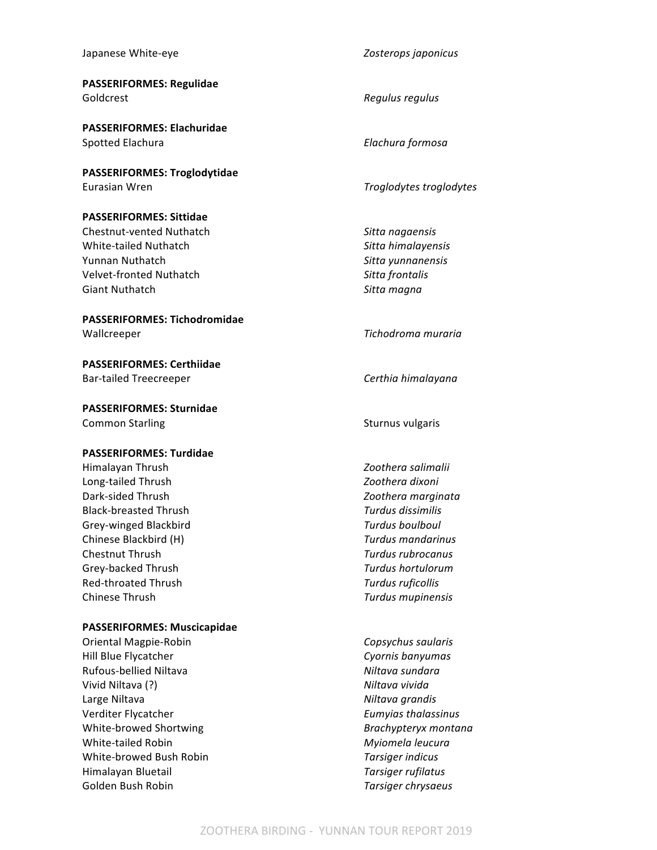#### Japanese White-eye *Zosterops japonicus*

**PASSERIFORMES: Regulidae** Goldcrest *Regulus regulus Regulus regulus* 

**PASSERIFORMES: Elachuridae** Spotted Elachura *Elachura Elachura formosa* 

**PASSERIFORMES: Troglodytidae** Eurasian Wren *Troglodytes troglodytes* 

#### **PASSERIFORMES: Sittidae**

Chestnut-vented Nuthatch *Sitta nagaensis* White-tailed Nuthatch *Sitta himalayensis* Yunnan Nuthatch **Sitta** yunnanensis Velvet-fronted Nuthatch *Sitta frontalis* Giant Nuthatch **Sitta magna** 

# **PASSERIFORMES: Tichodromidae**

**PASSERIFORMES: Certhiidae** Bar-tailed Treecreeper *Certhia himalayana* 

**PASSERIFORMES: Sturnidae** Common Starling The Common Starling Common Starling Sturnus vulgaris

#### **PASSERIFORMES: Turdidae**

Himalayan Thrush *Zoothera salimalii* Long-tailed Thrush *Zoothera dixoni* Dark-sided Thrush *Zoothera marginata* Black-breasted Thrush *Turdus dissimilis* Grey-winged Blackbird *Turdus boulboul* Chinese Blackbird (H) *Turdus mandarinus* **Chestnut Thrush** *Turdus rubrocanus* Grey-backed Thrush *Turdus hortulorum* Red-throated Thrush *Turdus ruficollis* Chinese Thrush *Turdus mupinensis* 

#### **PASSERIFORMES: Muscicapidae**

Oriental Magpie-Robin *Copsychus saularis* Hill Blue Flycatcher **Cyonnis** banyumas Rufous-bellied Niltava *Niltava Niltava sundara* Vivid Niltava (?) **Niltava** vivida Large Niltava *Niltava Niltava grandis* Verditer Flycatcher *Eumyias thalassinus* White-browed Shortwing **Brachypteryx** *Brachypteryx montana* White-tailed Robin **Myiomela** leucura White-browed Bush Robin *Tarsiger indicus* Himalayan Bluetail *Tarsiger rufilatus* Golden Bush Robin *Tarsiger chrysaeus* 

Wallcreeper *Tichodroma muraria*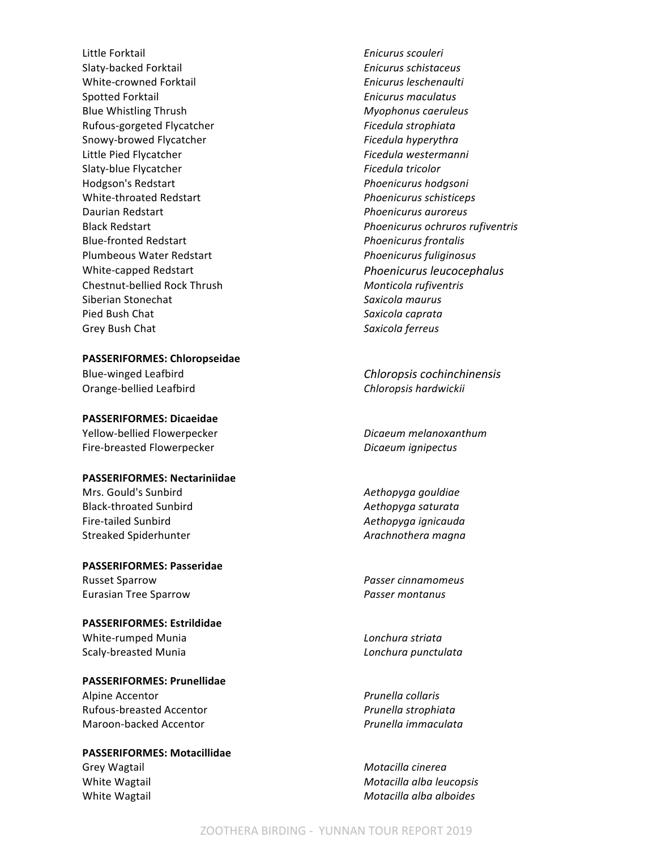Little Forktail *Enicurus scouleri* Slaty-backed Forktail *Enicurus schistaceus* White-crowned Forktail *Enicurus leschenaulti Enicurus leschenaulti* Spotted Forktail *Enicurus maculatus* Blue Whistling Thrush **Myophonus** caeruleus Rufous-gorgeted Flycatcher *Ficedula strophiata* Snowy-browed Flycatcher **Ficedula** hyperythra Little Pied Flycatcher **Ficedula** westermanni Slaty-blue Flycatcher **Ficedula** tricolor Hodgson's Redstart *Phoenicurus hodgsoni* White-throated Redstart *Phoenicurus schisticeps* Daurian Redstart *Phoenicurus* auroreus **Phoenicurus** auroreus Blue-fronted Redstart *Phoenicurus frontalis* Plumbeous Water Redstart *Phoenicurus fuliginosus* Chestnut-bellied Rock Thrush *Monticola rufiventris* Siberian Stonechat *Saxicola maurus* Pied Bush Chat **Saxicola** Chat **Saxicola** Chat **Saxicola** Caprata Grey Bush Chat **Saxicola** ferreus

**PASSERIFORMES: Chloropseidae**

Orange-bellied Leafbird **Chloropsis** hardwickii

**PASSERIFORMES: Dicaeidae** Yellow-bellied Flowerpecker *Dicaeum melanoxanthum* Fire-breasted Flowerpecker *Dicaeum ignipectus* 

#### **PASSERIFORMES: Nectariniidae**

Mrs. Gould's Sunbird *Aethopyga gouldiae* Black-throated Sunbird **Automatic Contracts** Aethopyga saturata Fire-tailed Sunbird *Aethopyga ignicauda* Streaked Spiderhunter *Arachnothera magna* 

**PASSERIFORMES: Passeridae** Russet Sparrow *Passer cinnamomeus* Eurasian Tree Sparrow *Passer montanus*

**PASSERIFORMES: Estrildidae** White-rumped Munia *Lonchura striata* Scaly-breasted Munia *Lonchura punctulata* 

**PASSERIFORMES: Prunellidae** Alpine Accentor *Prunella collaris* Rufous-breasted Accentor *Prunella strophiata*

# **PASSERIFORMES: Motacillidae**

Black Redstart *Phoenicurus ochruros rufiventris* White-capped Redstart *Phoenicurus leucocephalus* 

Blue-winged Leafbird *Chloropsis cochinchinensis* 

Maroon-backed Accentor *Prunella immaculata*

Grey Wagtail **Motacilla** *Crey* Wagtail **Motacilla** *Cinerea* White Wagtail **Motacilla** *Motacilla alba leucopsis Motacilla alba leucopsis* White Wagtail **Motacilla** alba alboides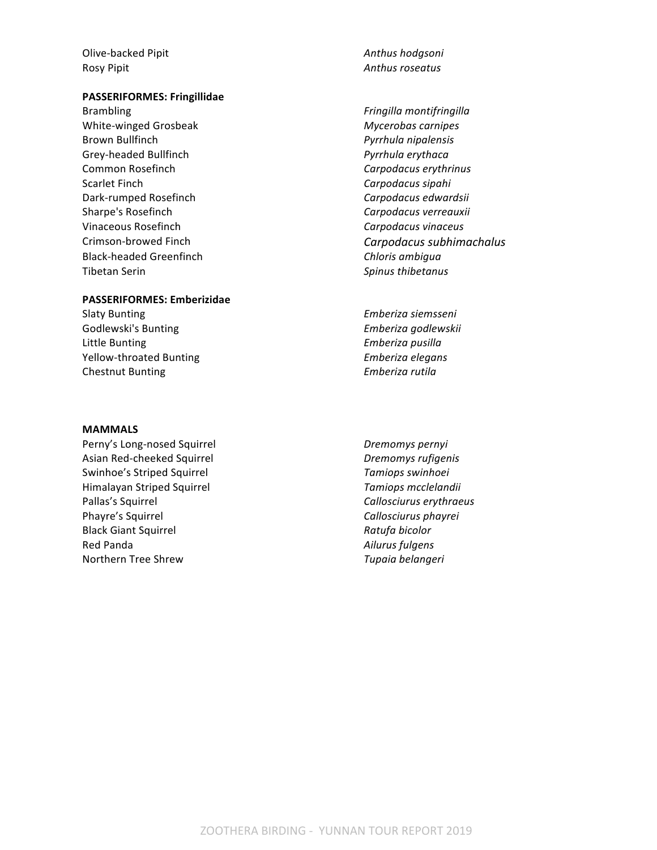Olive-backed Pipit **Anthus** hodgsoni Rosy Pipit **Anthus** roseatus **Anthus** roseatus

#### **PASSERIFORMES: Fringillidae**

Brambling *Fringilla montifringilla* White-winged Grosbeak *Mycerobas carnipes* Brown Bullfinch *Pyrrhula nipalensis* Grey-headed Bullfinch *Pyrrhula erythaca* Common Rosefinch **Common Rosefinch Carpodacus** erythrinus Scarlet Finch **Carpodacus** sipahi Dark-rumped Rosefinch **Carpodacus** *Carpodacus edwardsii Carpodacus edwardsii* Sharpe's Rosefinch **Carpodacus** verreauxii Vinaceous Rosefinch *Carpodacus vinaceus* Black-headed Greenfinch **Chloris** *Chloris ambigua* **Tibetan Serin Spinus thibetanus Spinus thibetanus** 

#### **PASSERIFORMES: Emberizidae**

Slaty Bunting *Emberiza siemsseni* Godlewski's Bunting *Emberiza godlewskii* Little Bunting **Emberiza** pusilla Yellow-throated Bunting *Emberiza elegans* Chestnut Bunting **Emberiza** rutila

#### **MAMMALS**

Perny's Long-nosed Squirrel *Dremomys pernyi* Asian Red-cheeked Squirrel *Dremomys rufigenis* Swinhoe's Striped Squirrel **Tamiops** swinhoei Himalayan Striped Squirrel *Tamiops mcclelandii* Pallas's Squirrel **Callosciurus** erythraeus Phayre's Squirrel **Callosciurus** phayrei Black Giant Squirrel *Ratufa bicolor Ratufa bicolor* Red Panda *Ailurus fulgens* Northern Tree Shrew **Tupaia Northern** Tree Shrew **Tupaia** *Tupaia belangeri* 

- Crimson-browed Finch **Carpodacus** subhimachalus
	-
	-